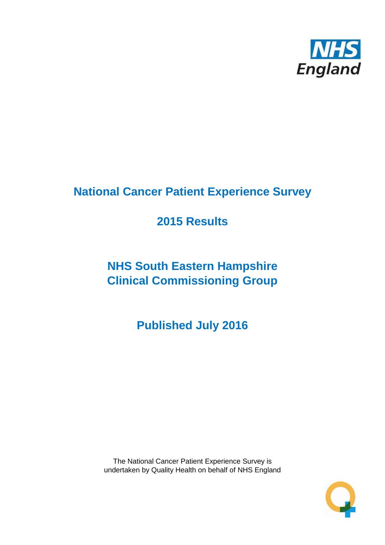

# **National Cancer Patient Experience Survey**

# **2015 Results**

# **NHS South Eastern Hampshire Clinical Commissioning Group**

**Published July 2016**

The National Cancer Patient Experience Survey is undertaken by Quality Health on behalf of NHS England

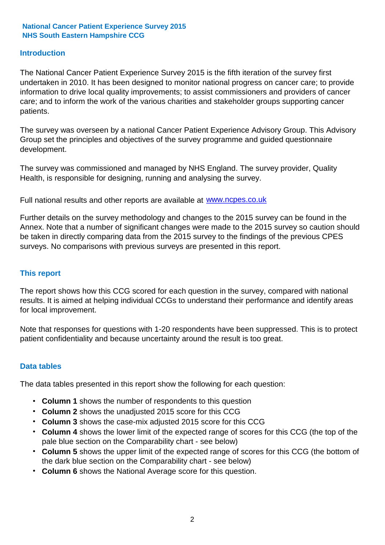### **Introduction**

The National Cancer Patient Experience Survey 2015 is the fifth iteration of the survey first undertaken in 2010. It has been designed to monitor national progress on cancer care; to provide information to drive local quality improvements; to assist commissioners and providers of cancer care; and to inform the work of the various charities and stakeholder groups supporting cancer patients.

The survey was overseen by a national Cancer Patient Experience Advisory Group. This Advisory Group set the principles and objectives of the survey programme and guided questionnaire development.

The survey was commissioned and managed by NHS England. The survey provider, Quality Health, is responsible for designing, running and analysing the survey.

Full national results and other reports are available at www.ncpes.co.uk

Further details on the survey methodology and changes to the 2015 survey can be found in the Annex. Note that a number of significant changes were made to the 2015 survey so caution should be taken in directly comparing data from the 2015 survey to the findings of the previous CPES surveys. No comparisons with previous surveys are presented in this report.

#### **This report**

The report shows how this CCG scored for each question in the survey, compared with national results. It is aimed at helping individual CCGs to understand their performance and identify areas for local improvement.

Note that responses for questions with 1-20 respondents have been suppressed. This is to protect patient confidentiality and because uncertainty around the result is too great.

#### **Data tables**

The data tables presented in this report show the following for each question:

- **Column 1** shows the number of respondents to this question
- **Column 2** shows the unadjusted 2015 score for this CCG
- **Column 3** shows the case-mix adjusted 2015 score for this CCG
- **Column 4** shows the lower limit of the expected range of scores for this CCG (the top of the pale blue section on the Comparability chart - see below)
- **Column 5** shows the upper limit of the expected range of scores for this CCG (the bottom of the dark blue section on the Comparability chart - see below)
- **Column 6** shows the National Average score for this question.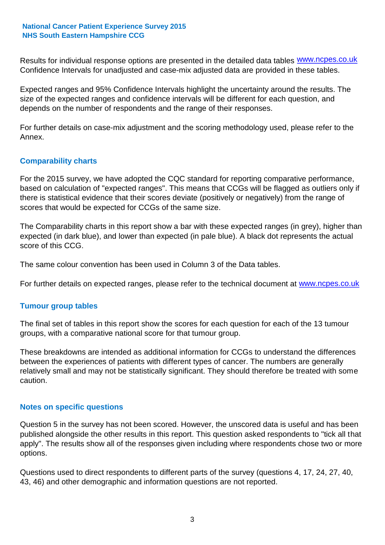Results for individual response options are presented in the detailed data tables **WWW.ncpes.co.uk** Confidence Intervals for unadjusted and case-mix adjusted data are provided in these tables.

Expected ranges and 95% Confidence Intervals highlight the uncertainty around the results. The size of the expected ranges and confidence intervals will be different for each question, and depends on the number of respondents and the range of their responses.

For further details on case-mix adjustment and the scoring methodology used, please refer to the Annex.

### **Comparability charts**

For the 2015 survey, we have adopted the CQC standard for reporting comparative performance, based on calculation of "expected ranges". This means that CCGs will be flagged as outliers only if there is statistical evidence that their scores deviate (positively or negatively) from the range of scores that would be expected for CCGs of the same size.

The Comparability charts in this report show a bar with these expected ranges (in grey), higher than expected (in dark blue), and lower than expected (in pale blue). A black dot represents the actual score of this CCG.

The same colour convention has been used in Column 3 of the Data tables.

For further details on expected ranges, please refer to the technical document at **www.ncpes.co.uk** 

#### **Tumour group tables**

The final set of tables in this report show the scores for each question for each of the 13 tumour groups, with a comparative national score for that tumour group.

These breakdowns are intended as additional information for CCGs to understand the differences between the experiences of patients with different types of cancer. The numbers are generally relatively small and may not be statistically significant. They should therefore be treated with some caution.

#### **Notes on specific questions**

Question 5 in the survey has not been scored. However, the unscored data is useful and has been published alongside the other results in this report. This question asked respondents to "tick all that apply". The results show all of the responses given including where respondents chose two or more options.

Questions used to direct respondents to different parts of the survey (questions 4, 17, 24, 27, 40, 43, 46) and other demographic and information questions are not reported.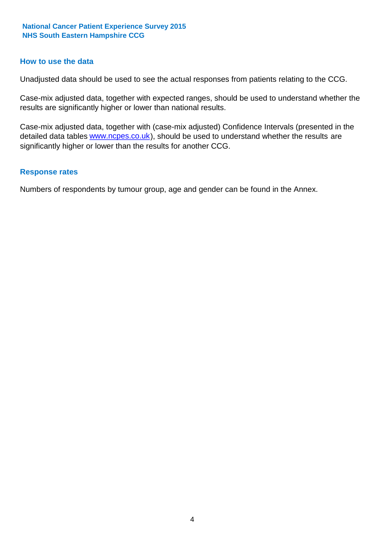#### **How to use the data**

Unadjusted data should be used to see the actual responses from patients relating to the CCG.

Case-mix adjusted data, together with expected ranges, should be used to understand whether the results are significantly higher or lower than national results.

Case-mix adjusted data, together with (case-mix adjusted) Confidence Intervals (presented in the detailed data tables **www.ncpes.co.uk**), should be used to understand whether the results are significantly higher or lower than the results for another CCG.

#### **Response rates**

Numbers of respondents by tumour group, age and gender can be found in the Annex.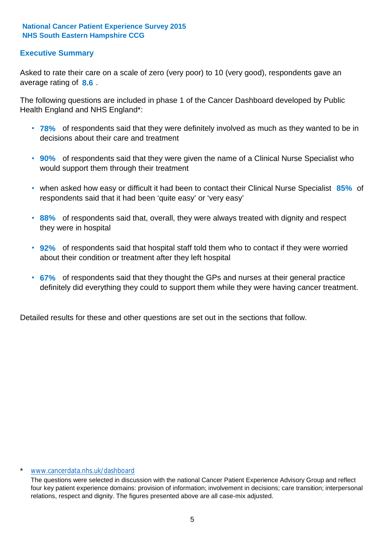### **Executive Summary**

average rating of 8.6. Asked to rate their care on a scale of zero (very poor) to 10 (very good), respondents gave an

The following questions are included in phase 1 of the Cancer Dashboard developed by Public Health England and NHS England\*:

- **78%** of respondents said that they were definitely involved as much as they wanted to be in decisions about their care and treatment
- **90%** of respondents said that they were given the name of a Clinical Nurse Specialist who would support them through their treatment
- when asked how easy or difficult it had been to contact their Clinical Nurse Specialist 85% of respondents said that it had been 'quite easy' or 'very easy'
- **88%** of respondents said that, overall, they were always treated with dignity and respect they were in hospital
- **92%** of respondents said that hospital staff told them who to contact if they were worried about their condition or treatment after they left hospital
- **67%** of respondents said that they thought the GPs and nurses at their general practice definitely did everything they could to support them while they were having cancer treatment.

Detailed results for these and other questions are set out in the sections that follow.

#### \* www.cancerdata.nhs.uk/dashboard

The questions were selected in discussion with the national Cancer Patient Experience Advisory Group and reflect four key patient experience domains: provision of information; involvement in decisions; care transition; interpersonal relations, respect and dignity. The figures presented above are all case-mix adjusted.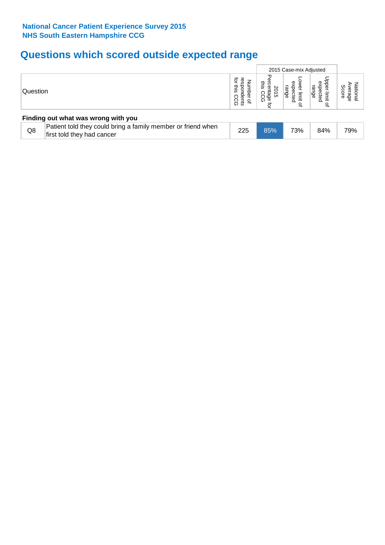# **Questions which scored outside expected range**

|                                     |                                                                                            |                                       | 2015 Case-mix Adjusted                     |                                                     |                                                 |                      |  |  |
|-------------------------------------|--------------------------------------------------------------------------------------------|---------------------------------------|--------------------------------------------|-----------------------------------------------------|-------------------------------------------------|----------------------|--|--|
| Question                            |                                                                                            | ਕੁ<br>ന<br>m<br>dents<br>흑<br>∘<br>ිර | inis<br>Β<br>ಪ<br>ಕ<br>ဂ္ကန္ဖိ<br>⊙<br>ਕ੍ਰ | Φ<br>ھ<br>Φ<br>uge<br>limit<br>ခ္မ<br>$\Omega$<br>₽ | pper<br>exp<br>range<br>ecte<br>limit<br>ó<br>₽ | ഗ<br>Φ<br>core<br>வி |  |  |
| Finding out what was wrong with you |                                                                                            |                                       |                                            |                                                     |                                                 |                      |  |  |
| Q8                                  | Patient told they could bring a family member or friend when<br>first told they had cancer | 225                                   | 85%                                        | 73%                                                 | 84%                                             | 79%                  |  |  |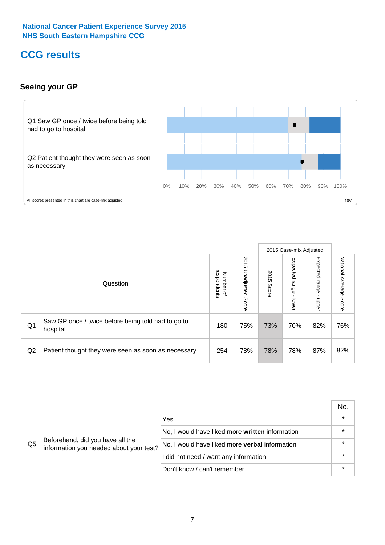# **CCG results**

### **Seeing your GP**



|    |                                                                |                                         |                             |               | 2015 Case-mix Adjusted     |                            |                           |
|----|----------------------------------------------------------------|-----------------------------------------|-----------------------------|---------------|----------------------------|----------------------------|---------------------------|
|    | Question                                                       | respondents<br>Number<br>$\overline{a}$ | 2015<br>Unadjusted<br>Score | 2015<br>Score | Expected<br>range<br>lower | Expected<br>range<br>dpper | National Average<br>Score |
| Q1 | Saw GP once / twice before being told had to go to<br>hospital | 180                                     | 75%                         | 73%           | 70%                        | 82%                        | 76%                       |
| Q2 | Patient thought they were seen as soon as necessary            | 254                                     | 78%                         | 78%           | 78%                        | 87%                        | 82%                       |

|    |                                                                             |                                                 | No. |
|----|-----------------------------------------------------------------------------|-------------------------------------------------|-----|
|    | Beforehand, did you have all the<br>information you needed about your test? | Yes                                             |     |
| Q5 |                                                                             | No, I would have liked more written information |     |
|    |                                                                             | No, I would have liked more verbal information  |     |
|    |                                                                             | I did not need / want any information           |     |
|    |                                                                             | Don't know / can't remember                     |     |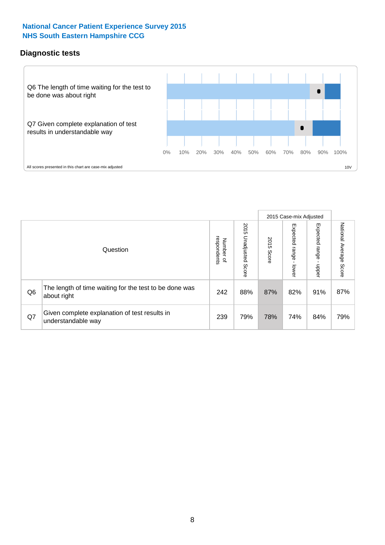### **Diagnostic tests**



|                |                                                                       |                                    |                             |               | 2015 Case-mix Adjusted  |                         |                           |
|----------------|-----------------------------------------------------------------------|------------------------------------|-----------------------------|---------------|-------------------------|-------------------------|---------------------------|
|                | Question                                                              | Number of<br>respondents<br>Number | 2015<br>Unadjusted<br>Score | 2015<br>Score | Expected range<br>lower | Expected range<br>nbber | National Average<br>Score |
| Q <sub>6</sub> | The length of time waiting for the test to be done was<br>about right | 242                                | 88%                         | 87%           | 82%                     | 91%                     | 87%                       |
| Q7             | Given complete explanation of test results in<br>understandable way   | 239                                | 79%                         | 78%           | 74%                     | 84%                     | 79%                       |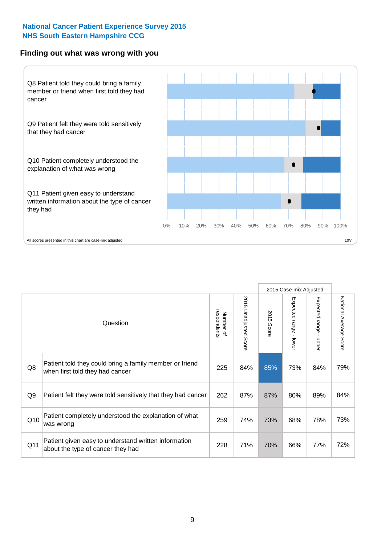#### **Finding out what was wrong with you**



|                 |                                                                                            |                          |                       |            | 2015 Case-mix Adjusted |                                           |                           |
|-----------------|--------------------------------------------------------------------------------------------|--------------------------|-----------------------|------------|------------------------|-------------------------------------------|---------------------------|
|                 | Question                                                                                   | respondents<br>Number of | 2015 Unadjusted Score | 2015 Score | Expected range - lower | Expected range<br>$\blacksquare$<br>nbber | National Average<br>Score |
| Q8              | Patient told they could bring a family member or friend<br>when first told they had cancer | 225                      | 84%                   | 85%        | 73%                    | 84%                                       | 79%                       |
| Q <sub>9</sub>  | Patient felt they were told sensitively that they had cancer                               | 262                      | 87%                   | 87%        | 80%                    | 89%                                       | 84%                       |
| Q10             | Patient completely understood the explanation of what<br>was wrong                         | 259                      | 74%                   | 73%        | 68%                    | 78%                                       | 73%                       |
| Q <sub>11</sub> | Patient given easy to understand written information<br>about the type of cancer they had  | 228                      | 71%                   | 70%        | 66%                    | 77%                                       | 72%                       |
|                 |                                                                                            |                          |                       |            |                        |                                           |                           |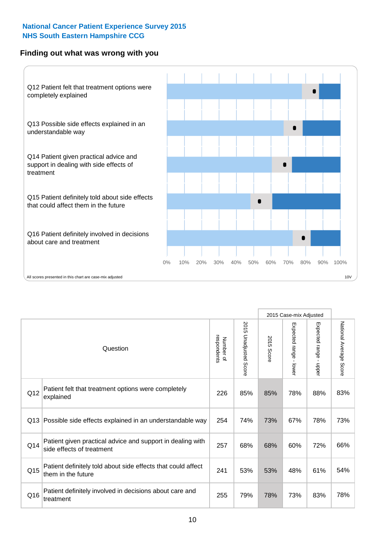### **Finding out what was wrong with you**



|     |                                                                                         |                          |                       |               | 2015 Case-mix Adjusted                  |                           |                        |
|-----|-----------------------------------------------------------------------------------------|--------------------------|-----------------------|---------------|-----------------------------------------|---------------------------|------------------------|
|     | Question                                                                                | respondents<br>Number of | 2015 Unadjusted Score | 2015<br>Score | Expected range<br>$\mathbf{r}$<br>lower | Expected range -<br>nbber | National Average Score |
| Q12 | Patient felt that treatment options were completely<br>explained                        | 226                      | 85%                   | 85%           | 78%                                     | 88%                       | 83%                    |
| Q13 | Possible side effects explained in an understandable way                                | 254                      | 74%                   | 73%           | 67%                                     | 78%                       | 73%                    |
| Q14 | Patient given practical advice and support in dealing with<br>side effects of treatment | 257                      | 68%                   | 68%           | 60%                                     | 72%                       | 66%                    |
| Q15 | Patient definitely told about side effects that could affect<br>them in the future      | 241                      | 53%                   | 53%           | 48%                                     | 61%                       | 54%                    |
| Q16 | Patient definitely involved in decisions about care and<br>treatment                    | 255                      | 79%                   | 78%           | 73%                                     | 83%                       | 78%                    |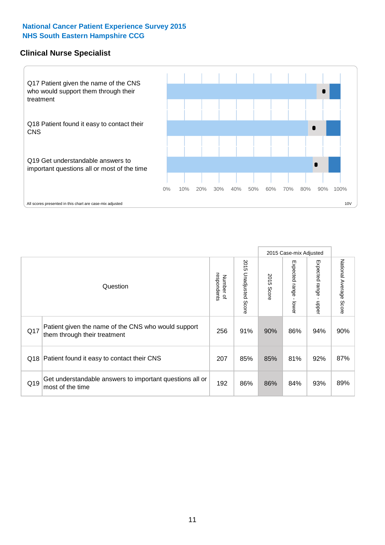### **Clinical Nurse Specialist**



|     |                                                                                     |                          |                       |               | 2015 Case-mix Adjusted  |                         |                                  |
|-----|-------------------------------------------------------------------------------------|--------------------------|-----------------------|---------------|-------------------------|-------------------------|----------------------------------|
|     | Question                                                                            | respondents<br>Number of | 2015 Unadjusted Score | 2015<br>Score | Expected range<br>lower | Expected range<br>nbber | National Average<br><b>Score</b> |
| Q17 | Patient given the name of the CNS who would support<br>them through their treatment | 256                      | 91%                   | 90%           | 86%                     | 94%                     | 90%                              |
|     | Q18 Patient found it easy to contact their CNS                                      | 207                      | 85%                   | 85%           | 81%                     | 92%                     | 87%                              |
| Q19 | Get understandable answers to important questions all or<br>most of the time        | 192                      | 86%                   | 86%           | 84%                     | 93%                     | 89%                              |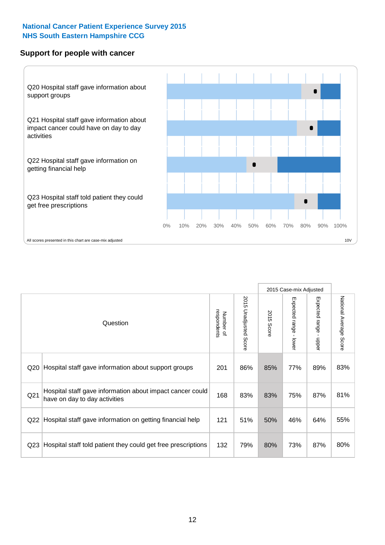#### **Support for people with cancer**



|                 |                                                                                            |                          |                       |               | 2015 Case-mix Adjusted |                                         |                           |
|-----------------|--------------------------------------------------------------------------------------------|--------------------------|-----------------------|---------------|------------------------|-----------------------------------------|---------------------------|
|                 | Question                                                                                   | respondents<br>Number of | 2015 Unadjusted Score | 2015<br>Score | Expected range - lower | Expected range<br>$\mathbf{I}$<br>nbber | National Average<br>Score |
| Q20             | Hospital staff gave information about support groups                                       | 201                      | 86%                   | 85%           | 77%                    | 89%                                     | 83%                       |
| Q21             | Hospital staff gave information about impact cancer could<br>have on day to day activities | 168                      | 83%                   | 83%           | 75%                    | 87%                                     | 81%                       |
| Q22             | Hospital staff gave information on getting financial help                                  | 121                      | 51%                   | 50%           | 46%                    | 64%                                     | 55%                       |
| Q <sub>23</sub> | Hospital staff told patient they could get free prescriptions                              | 132                      | 79%                   | 80%           | 73%                    | 87%                                     | 80%                       |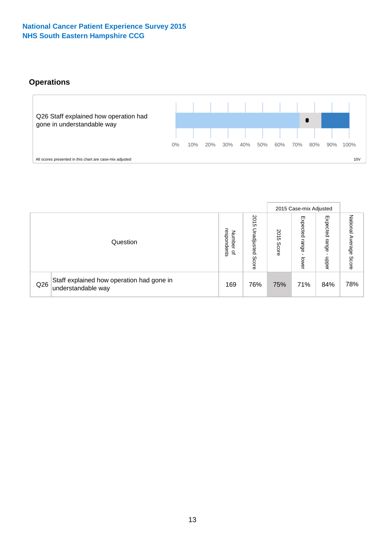# **Operations**



|     |                                                                 |                                              |                             |               | 2015 Case-mix Adjusted     |                            |                              |
|-----|-----------------------------------------------------------------|----------------------------------------------|-----------------------------|---------------|----------------------------|----------------------------|------------------------------|
|     | Question                                                        | respondents<br>Number<br>$\overline{\sigma}$ | 2015<br>Unadjusted<br>Score | 2015<br>Score | Expected<br>range<br>lower | Expected<br>range<br>doper | National<br>Average<br>Score |
| Q26 | Staff explained how operation had gone in<br>understandable way | 169                                          | 76%                         | 75%           | 71%                        | 84%                        | 78%                          |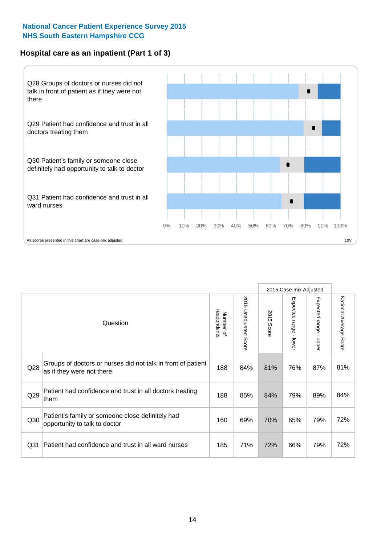### **Hospital care as an inpatient (Part 1 of 3)**



All scores presented in this chart are case-mix adjusted  $10V$ 

|                 |                                                                                           |                          |                          |                      | 2015 Case-mix Adjusted                  |                                           |                        |
|-----------------|-------------------------------------------------------------------------------------------|--------------------------|--------------------------|----------------------|-----------------------------------------|-------------------------------------------|------------------------|
|                 | Question                                                                                  | respondents<br>Number of | 2015<br>Unadjusted Score | 2015<br><b>Score</b> | Expected range<br>$\mathbf{r}$<br>lower | Expected range<br>$\blacksquare$<br>nbber | National Average Score |
| Q28             | Groups of doctors or nurses did not talk in front of patient<br>as if they were not there | 188                      | 84%                      | 81%                  | 76%                                     | 87%                                       | 81%                    |
| Q29             | Patient had confidence and trust in all doctors treating<br>them                          | 188                      | 85%                      | 84%                  | 79%                                     | 89%                                       | 84%                    |
| Q30             | Patient's family or someone close definitely had<br>opportunity to talk to doctor         | 160                      | 69%                      | 70%                  | 65%                                     | 79%                                       | 72%                    |
| Q <sub>31</sub> | Patient had confidence and trust in all ward nurses                                       | 185                      | 71%                      | 72%                  | 66%                                     | 79%                                       | 72%                    |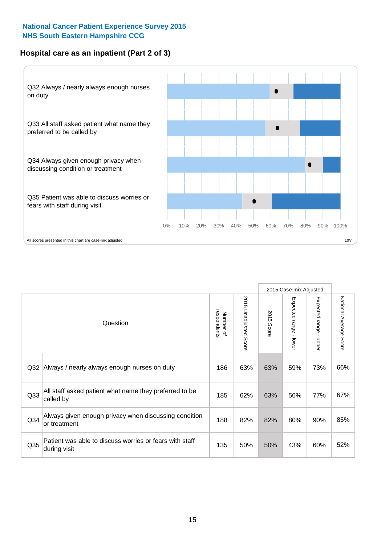### **Hospital care as an inpatient (Part 2 of 3)**



|                 |                                                                         |                          |                       |               | 2015 Case-mix Adjusted |                           |                           |
|-----------------|-------------------------------------------------------------------------|--------------------------|-----------------------|---------------|------------------------|---------------------------|---------------------------|
|                 | Question                                                                | Number of<br>respondents | 2015 Unadjusted Score | 2015<br>Score | Expected range - lower | Expected range -<br>nbper | National Average<br>Score |
| Q32             | Always / nearly always enough nurses on duty                            | 186                      | 63%                   | 63%           | 59%                    | 73%                       | 66%                       |
| Q33             | All staff asked patient what name they preferred to be<br>called by     | 185                      | 62%                   | 63%           | 56%                    | 77%                       | 67%                       |
| Q <sub>34</sub> | Always given enough privacy when discussing condition<br>or treatment   | 188                      | 82%                   | 82%           | 80%                    | 90%                       | 85%                       |
| Q35             | Patient was able to discuss worries or fears with staff<br>during visit | 135                      | 50%                   | 50%           | 43%                    | 60%                       | 52%                       |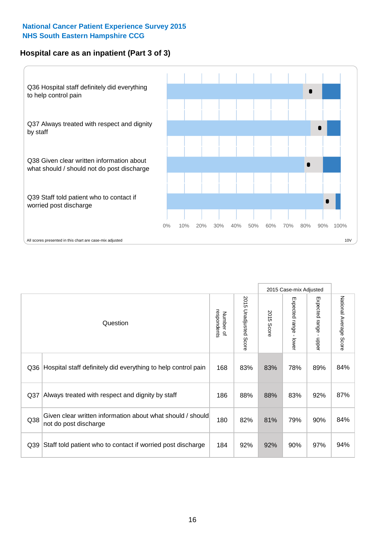### **Hospital care as an inpatient (Part 3 of 3)**



|                 |                                                                                     |                          |                                 |               | 2015 Case-mix Adjusted                    |                           |                        |
|-----------------|-------------------------------------------------------------------------------------|--------------------------|---------------------------------|---------------|-------------------------------------------|---------------------------|------------------------|
|                 | Question                                                                            | respondents<br>Number of | 2015<br><b>Unadjusted Score</b> | 2015<br>Score | Expected range<br>$\blacksquare$<br>lower | Expected range -<br>nbber | National Average Score |
| Q36             | Hospital staff definitely did everything to help control pain                       | 168                      | 83%                             | 83%           | 78%                                       | 89%                       | 84%                    |
| Q <sub>37</sub> | Always treated with respect and dignity by staff                                    | 186                      | 88%                             | 88%           | 83%                                       | 92%                       | 87%                    |
| Q38             | Given clear written information about what should / should<br>not do post discharge | 180                      | 82%                             | 81%           | 79%                                       | 90%                       | 84%                    |
| Q39             | Staff told patient who to contact if worried post discharge                         | 184                      | 92%                             | 92%           | 90%                                       | 97%                       | 94%                    |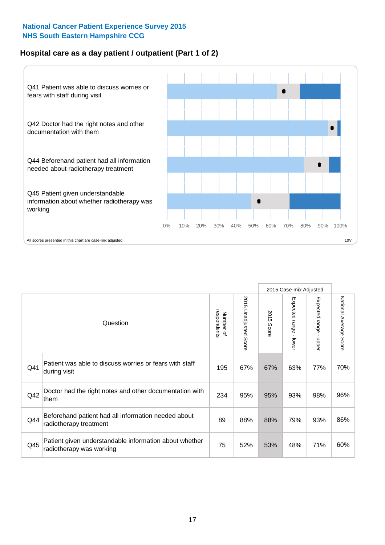### **Hospital care as a day patient / outpatient (Part 1 of 2)**



|     |                                                                                    |                          |                                 |               | 2015 Case-mix Adjusted                  |                                           |                        |
|-----|------------------------------------------------------------------------------------|--------------------------|---------------------------------|---------------|-----------------------------------------|-------------------------------------------|------------------------|
|     | Question                                                                           | respondents<br>Number of | 2015<br><b>Unadjusted Score</b> | 2015<br>Score | Expected range<br>$\mathbf{r}$<br>lower | Expected range<br>$\blacksquare$<br>nbber | National Average Score |
| Q41 | Patient was able to discuss worries or fears with staff<br>during visit            | 195                      | 67%                             | 67%           | 63%                                     | 77%                                       | 70%                    |
| Q42 | Doctor had the right notes and other documentation with<br>them                    | 234                      | 95%                             | 95%           | 93%                                     | 98%                                       | 96%                    |
| Q44 | Beforehand patient had all information needed about<br>radiotherapy treatment      | 89                       | 88%                             | 88%           | 79%                                     | 93%                                       | 86%                    |
| Q45 | Patient given understandable information about whether<br>radiotherapy was working | 75                       | 52%                             | 53%           | 48%                                     | 71%                                       | 60%                    |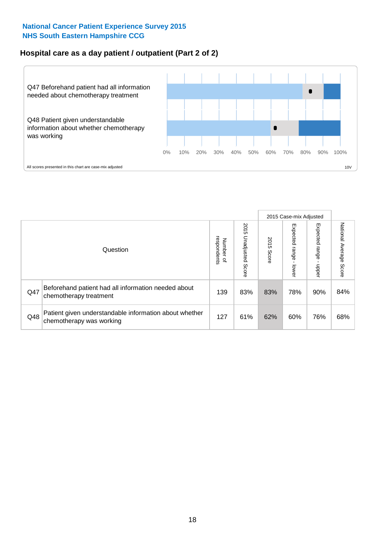### **Hospital care as a day patient / outpatient (Part 2 of 2)**



|     |                                                                                    |                                       |                             |               |                         | 2015 Case-mix Adjusted  |                           |
|-----|------------------------------------------------------------------------------------|---------------------------------------|-----------------------------|---------------|-------------------------|-------------------------|---------------------------|
|     | Question                                                                           | respondents<br>Number<br>$\mathbf{Q}$ | 2015<br>Unadjusted<br>Score | 2015<br>Score | Expected range<br>lower | Expected range<br>doper | National Average<br>Score |
| Q47 | Beforehand patient had all information needed about<br>chemotherapy treatment      | 139                                   | 83%                         | 83%           | 78%                     | 90%                     | 84%                       |
| Q48 | Patient given understandable information about whether<br>chemotherapy was working | 127                                   | 61%                         | 62%           | 60%                     | 76%                     | 68%                       |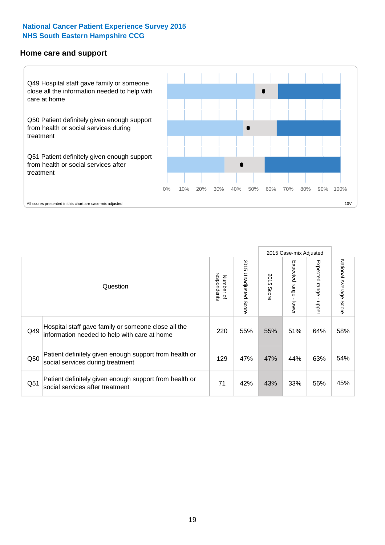#### **Home care and support**



2015 Case-mix Adjusted 2015 Unadjusted Score Expected range - upper National Average Score 2015 Unadjusted Score Expected range - lower National Average Score Expected range - lower Expected range - upper Number of<br>respondents respondents 2015 Score 2015 Score Number of Question Hospital staff gave family or someone close all the  $Q49$  information needed to help with care at home  $220$  |  $55\%$  |  $55\%$  |  $51\%$  |  $64\%$  |  $58\%$ Patient definitely given enough support from health or  $\frac{129}{\pi}$  social services during treatment  $\frac{129}{\pi}$  at  $\frac{47\%}{\pi}$  at  $\frac{47\%}{\pi}$  and  $\frac{44\%}{\pi}$  63% 54% Patient definitely given enough support from health or  $\frac{1}{251}$   $\frac{1}{25}$  attention given enough support nominealities<br> $\frac{1}{21}$   $\frac{42\%}{43\%}$   $\frac{33\%}{33\%}$  56% 45%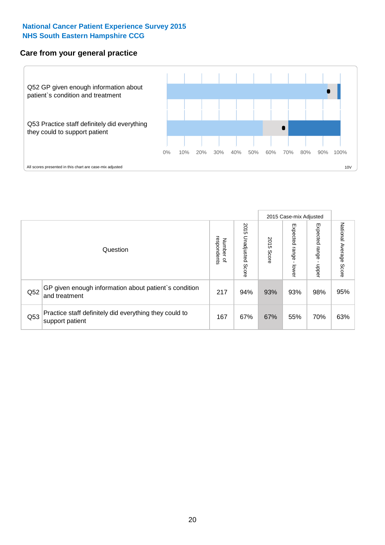#### **Care from your general practice**



|     |                                                                           |                                       |                             |               |                         | 2015 Case-mix Adjusted  |                           |
|-----|---------------------------------------------------------------------------|---------------------------------------|-----------------------------|---------------|-------------------------|-------------------------|---------------------------|
|     | Question                                                                  | respondents<br>Number<br>$\mathbf{Q}$ | 2015<br>Unadjusted<br>Score | 2015<br>Score | Expected range<br>lower | Expected range<br>doper | National Average<br>Score |
| Q52 | GP given enough information about patient's condition<br>and treatment    | 217                                   | 94%                         | 93%           | 93%                     | 98%                     | 95%                       |
| Q53 | Practice staff definitely did everything they could to<br>support patient | 167                                   | 67%                         | 67%           | 55%                     | 70%                     | 63%                       |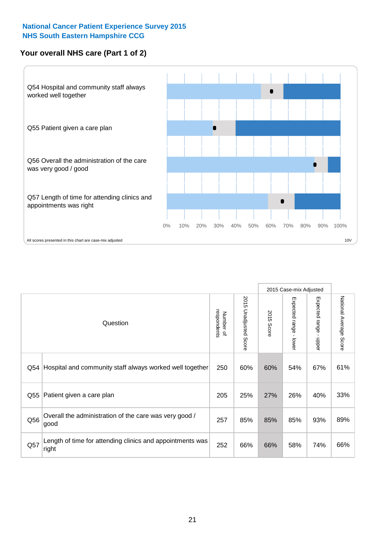### **Your overall NHS care (Part 1 of 2)**



|     |                                                                    |                          | 2015 Case-mix Adjusted          |                      |                         |                                           |                        |
|-----|--------------------------------------------------------------------|--------------------------|---------------------------------|----------------------|-------------------------|-------------------------------------------|------------------------|
|     | Question                                                           | respondents<br>Number of | 2015<br><b>Unadjusted Score</b> | 2015<br><b>Score</b> | Expected range<br>lower | Expected range<br>$\blacksquare$<br>nbber | National Average Score |
| Q54 | Hospital and community staff always worked well together           | 250                      | 60%                             | 60%                  | 54%                     | 67%                                       | 61%                    |
| Q55 | Patient given a care plan                                          | 205                      | 25%                             | 27%                  | 26%                     | 40%                                       | 33%                    |
| Q56 | Overall the administration of the care was very good /<br>good     | 257                      | 85%                             | 85%                  | 85%                     | 93%                                       | 89%                    |
| Q57 | Length of time for attending clinics and appointments was<br>right | 252                      | 66%                             | 66%                  | 58%                     | 74%                                       | 66%                    |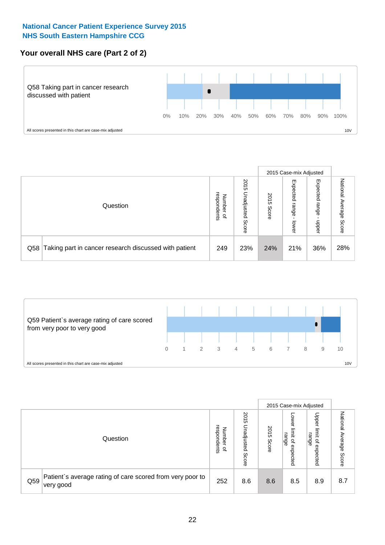# **Your overall NHS care (Part 2 of 2)**



|     |                                                       |                                              |                             |               |                            | 2015 Case-mix Adjusted     |                        |
|-----|-------------------------------------------------------|----------------------------------------------|-----------------------------|---------------|----------------------------|----------------------------|------------------------|
|     | Question                                              | respondents<br>Number<br>$\overline{\sigma}$ | 2015<br>Unadjusted<br>Score | 2015<br>Score | Expected<br>range<br>lower | Expected<br>range<br>doper | National Average Score |
| Q58 | Taking part in cancer research discussed with patient | 249                                          | 23%                         | 24%           | 21%                        | 36%                        | 28%                    |



|     |                                                                        |                                   |                             |               |                                         | 2015 Case-mix Adjusted                                |                              |
|-----|------------------------------------------------------------------------|-----------------------------------|-----------------------------|---------------|-----------------------------------------|-------------------------------------------------------|------------------------------|
|     | Question                                                               | respondents<br>Number<br>$\Omega$ | 2015<br>Unadjusted<br>Score | 2015<br>Score | OWer<br>limit<br>range<br>٩<br>expected | Upper<br>limit<br>range<br>$\overline{a}$<br>expected | National<br>Average<br>Score |
| Q59 | Patient's average rating of care scored from very poor to<br>very good | 252                               | 8.6                         | 8.6           | 8.5                                     | 8.9                                                   | 8.7                          |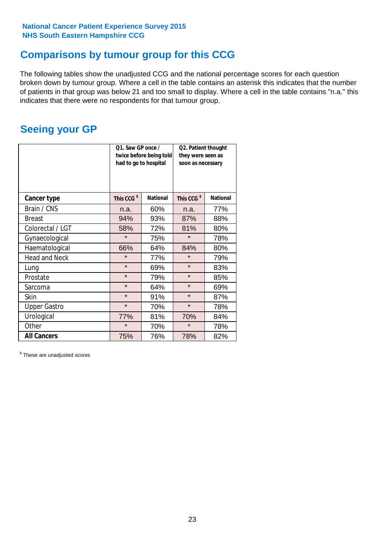# **Comparisons by tumour group for this CCG**

The following tables show the unadjusted CCG and the national percentage scores for each question broken down by tumour group. Where a cell in the table contains an asterisk this indicates that the number of patients in that group was below 21 and too small to display. Where a cell in the table contains "n.a." this indicates that there were no respondents for that tumour group.

# **Seeing your GP**

|                      | Q1. Saw GP once /<br>had to go to hospital | twice before being told | Q2. Patient thought<br>they were seen as<br>soon as necessary |                 |  |
|----------------------|--------------------------------------------|-------------------------|---------------------------------------------------------------|-----------------|--|
| <b>Cancer type</b>   | This CCG <sup>\$</sup>                     | <b>National</b>         | This CCG <sup>\$</sup>                                        | <b>National</b> |  |
| Brain / CNS          | n.a.                                       | 60%                     | n.a.                                                          | 77%             |  |
| <b>Breast</b>        | 94%                                        | 93%                     | 87%                                                           | 88%             |  |
| Colorectal / LGT     | 58%                                        | 72%                     | 81%                                                           | 80%             |  |
| Gynaecological       | $\star$                                    | 75%                     | $\star$                                                       | 78%             |  |
| Haematological       | 66%                                        | 64%                     | 84%                                                           | 80%             |  |
| <b>Head and Neck</b> | $\star$                                    | 77%                     | $\star$                                                       | 79%             |  |
| Lung                 | $\star$                                    | 69%                     | $\star$                                                       | 83%             |  |
| Prostate             | $\star$                                    | 79%                     | $\star$                                                       | 85%             |  |
| Sarcoma              | $\star$                                    | 64%                     | $\star$                                                       | 69%             |  |
| <b>Skin</b>          | $\star$                                    | 91%                     | $\star$                                                       | 87%             |  |
| <b>Upper Gastro</b>  | $\star$                                    | 70%                     | $\star$                                                       | 78%             |  |
| Urological           | 77%                                        | 81%                     | 70%                                                           | 84%             |  |
| Other                | $\star$<br>70%                             |                         | $\star$                                                       | 78%             |  |
| <b>All Cancers</b>   | 75%                                        | 76%                     | 78%                                                           | 82%             |  |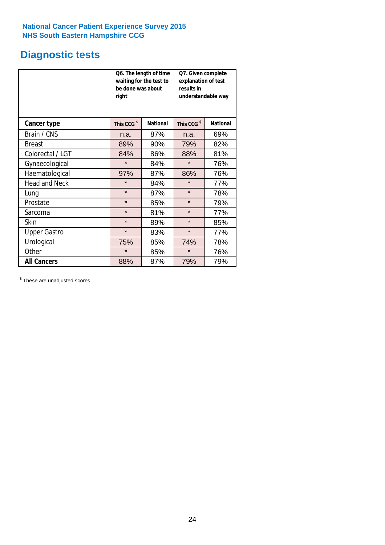# **Diagnostic tests**

|                      | be done was about<br>right | Q6. The length of time<br>waiting for the test to | Q7. Given complete<br>explanation of test<br>results in<br>understandable way |                 |  |
|----------------------|----------------------------|---------------------------------------------------|-------------------------------------------------------------------------------|-----------------|--|
| <b>Cancer type</b>   | This CCG <sup>\$</sup>     | <b>National</b>                                   | This CCG <sup>\$</sup>                                                        | <b>National</b> |  |
| Brain / CNS          | n.a.                       | 87%                                               | n.a.                                                                          | 69%             |  |
| <b>Breast</b>        | 89%                        | 90%                                               | 79%                                                                           | 82%             |  |
| Colorectal / LGT     | 84%                        | 86%                                               | 88%                                                                           | 81%             |  |
| Gynaecological       | $\star$                    | 84%                                               | $\star$                                                                       | 76%             |  |
| Haematological       | 97%                        | 87%                                               | 86%                                                                           | 76%             |  |
| <b>Head and Neck</b> | $\star$                    | 84%                                               | $\star$                                                                       | 77%             |  |
| Lung                 | $\star$                    | 87%                                               | $\star$                                                                       | 78%             |  |
| Prostate             | $\star$                    | 85%                                               | $\star$                                                                       | 79%             |  |
| Sarcoma              | $\star$                    | 81%                                               | $\star$                                                                       | 77%             |  |
| Skin                 | $\star$                    | 89%                                               | $\star$                                                                       | 85%             |  |
| <b>Upper Gastro</b>  | $\star$                    | 83%                                               | $\star$                                                                       | 77%             |  |
| Urological           | 75%                        | 85%                                               | 74%                                                                           | 78%             |  |
| Other                | $\star$                    | 85%                                               | $\star$                                                                       | 76%             |  |
| <b>All Cancers</b>   | 88%                        | 87%                                               | 79%                                                                           | 79%             |  |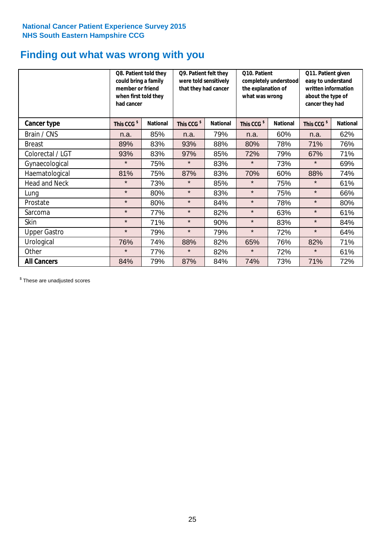# **Finding out what was wrong with you**

|                     | Q8. Patient told they<br>could bring a family<br>member or friend<br>when first told they<br>had cancer |                 | Q9. Patient felt they<br>were told sensitively<br>that they had cancer |                 | Q10. Patient<br>completely understood<br>the explanation of<br>what was wrong |                 | Q11. Patient given<br>easy to understand<br>written information<br>about the type of<br>cancer they had |                 |
|---------------------|---------------------------------------------------------------------------------------------------------|-----------------|------------------------------------------------------------------------|-----------------|-------------------------------------------------------------------------------|-----------------|---------------------------------------------------------------------------------------------------------|-----------------|
| Cancer type         | This CCG <sup>\$</sup>                                                                                  | <b>National</b> | This CCG <sup>\$</sup>                                                 | <b>National</b> | This CCG <sup>\$</sup>                                                        | <b>National</b> | This CCG <sup>\$</sup>                                                                                  | <b>National</b> |
| Brain / CNS         | n.a.                                                                                                    | 85%             | n.a.                                                                   | 79%             | n.a.                                                                          | 60%             | n.a.                                                                                                    | 62%             |
| <b>Breast</b>       | 89%                                                                                                     | 83%             | 93%                                                                    | 88%             | 80%                                                                           | 78%             | 71%                                                                                                     | 76%             |
| Colorectal / LGT    | 93%                                                                                                     | 83%             | 97%                                                                    | 85%             | 72%                                                                           | 79%             | 67%                                                                                                     | 71%             |
| Gynaecological      | $\star$                                                                                                 | 75%             | $\star$                                                                | 83%             | $\star$                                                                       | 73%             | $\star$                                                                                                 | 69%             |
| Haematological      | 81%                                                                                                     | 75%             | 87%                                                                    | 83%             | 70%                                                                           | 60%             | 88%                                                                                                     | 74%             |
| Head and Neck       | $\star$                                                                                                 | 73%             | $\star$                                                                | 85%             | $\star$                                                                       | 75%             | $\star$                                                                                                 | 61%             |
| Lung                | $\star$                                                                                                 | 80%             | $\star$                                                                | 83%             | $\star$                                                                       | 75%             | $\star$                                                                                                 | 66%             |
| Prostate            | $\star$                                                                                                 | 80%             | $\star$                                                                | 84%             | $\star$                                                                       | 78%             | $\star$                                                                                                 | 80%             |
| Sarcoma             | $\star$                                                                                                 | 77%             | $\star$                                                                | 82%             | $\star$                                                                       | 63%             | $\star$                                                                                                 | 61%             |
| Skin                | $\star$                                                                                                 | 71%             | $\star$                                                                | 90%             | $\star$                                                                       | 83%             | $\star$                                                                                                 | 84%             |
| <b>Upper Gastro</b> | $\star$                                                                                                 | 79%             | $\star$                                                                | 79%             | $\star$                                                                       | 72%             | $\star$                                                                                                 | 64%             |
| Urological          | 76%                                                                                                     | 74%             | 88%                                                                    | 82%             | 65%                                                                           | 76%             | 82%                                                                                                     | 71%             |
| Other               | $\star$                                                                                                 | 77%             | $\star$                                                                | 82%             | $\star$                                                                       | 72%             | $\star$                                                                                                 | 61%             |
| <b>All Cancers</b>  | 84%                                                                                                     | 79%             | 87%                                                                    | 84%             | 74%                                                                           | 73%             | 71%                                                                                                     | 72%             |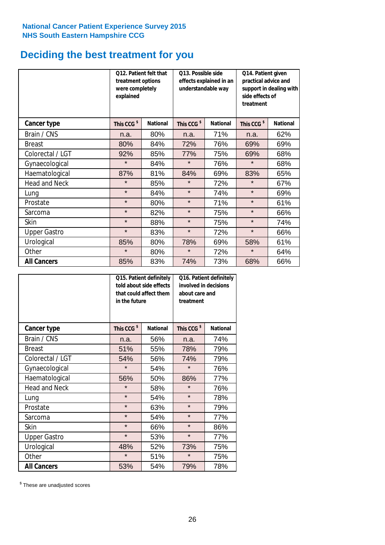# **Deciding the best treatment for you**

|                      | treatment options<br>were completely<br>explained | Q12. Patient felt that | Q13. Possible side<br>understandable way | effects explained in an | Q14. Patient given<br>practical advice and<br>support in dealing with<br>side effects of<br>treatment |                 |  |
|----------------------|---------------------------------------------------|------------------------|------------------------------------------|-------------------------|-------------------------------------------------------------------------------------------------------|-----------------|--|
| Cancer type          | This CCG <sup>\$</sup>                            | <b>National</b>        | This CCG <sup>\$</sup>                   | <b>National</b>         | This CCG <sup>\$</sup>                                                                                | <b>National</b> |  |
| Brain / CNS          | n.a.                                              | 80%                    | n.a.                                     | 71%                     | n.a.                                                                                                  | 62%             |  |
| <b>Breast</b>        | 80%                                               | 84%                    | 72%                                      | 76%                     | 69%                                                                                                   | 69%             |  |
| Colorectal / LGT     | 92%                                               | 85%                    | 77%                                      | 75%                     | 69%                                                                                                   | 68%             |  |
| Gynaecological       | $\star$                                           | 84%                    | $\star$                                  | 76%                     | $\star$                                                                                               | 68%             |  |
| Haematological       | 87%                                               | 81%                    | 84%                                      | 69%                     | 83%                                                                                                   | 65%             |  |
| <b>Head and Neck</b> | $\star$                                           | 85%                    | $\star$                                  | 72%                     | $\star$                                                                                               | 67%             |  |
| Lung                 | $\star$                                           | 84%                    | $\star$                                  | 74%                     | $\star$                                                                                               | 69%             |  |
| Prostate             | $\star$                                           | 80%                    | $\star$                                  | 71%                     | $\star$                                                                                               | 61%             |  |
| Sarcoma              | $\star$                                           | 82%                    | $\star$                                  | 75%                     | $\star$                                                                                               | 66%             |  |
| Skin                 | $\star$                                           | 88%                    | $\star$                                  | 75%                     | $\star$                                                                                               | 74%             |  |
| <b>Upper Gastro</b>  | $\star$                                           | 83%                    | $\star$                                  | 72%                     | $\star$                                                                                               | 66%             |  |
| Urological           | 85%                                               | 80%                    | 78%                                      | 69%                     | 58%                                                                                                   | 61%             |  |
| Other                | $\star$                                           | 80%                    | $\star$                                  | 72%                     | $\star$                                                                                               | 64%             |  |
| <b>All Cancers</b>   | 85%                                               | 83%                    | 74%                                      | 73%                     | 68%                                                                                                   | 66%             |  |

|                      | in the future          | Q15. Patient definitely<br>told about side effects<br>that could affect them | Q16. Patient definitely<br>involved in decisions<br>about care and<br>treatment |                 |  |
|----------------------|------------------------|------------------------------------------------------------------------------|---------------------------------------------------------------------------------|-----------------|--|
| <b>Cancer type</b>   | This CCG <sup>\$</sup> | <b>National</b>                                                              | This CCG <sup>\$</sup>                                                          | <b>National</b> |  |
| Brain / CNS          | n.a.                   | 56%                                                                          | n.a.                                                                            | 74%             |  |
| <b>Breast</b>        | 51%                    | 55%                                                                          | 78%                                                                             | 79%             |  |
| Colorectal / LGT     | 54%                    | 56%                                                                          | 74%                                                                             | 79%             |  |
| Gynaecological       | $\star$<br>54%         |                                                                              | $\star$                                                                         | 76%             |  |
| Haematological       | 50%<br>56%             |                                                                              | 86%                                                                             | 77%             |  |
| <b>Head and Neck</b> | $\star$                | 58%                                                                          | $\star$                                                                         | 76%             |  |
| Lung                 | $\star$                | 54%                                                                          | $\star$                                                                         | 78%             |  |
| Prostate             | $\star$                | 63%                                                                          | $\star$                                                                         | 79%             |  |
| Sarcoma              | $\star$                | 54%                                                                          | $\star$                                                                         | 77%             |  |
| Skin                 | $\star$                | 66%                                                                          | $\star$                                                                         | 86%             |  |
| <b>Upper Gastro</b>  | $\star$                | 53%                                                                          | $\star$                                                                         | 77%             |  |
| Urological           | 48%                    | 52%                                                                          | 73%                                                                             | 75%             |  |
| Other                | $\star$                | 51%                                                                          | $\star$                                                                         | 75%             |  |
| <b>All Cancers</b>   | 53%                    | 54%                                                                          | 79%                                                                             | 78%             |  |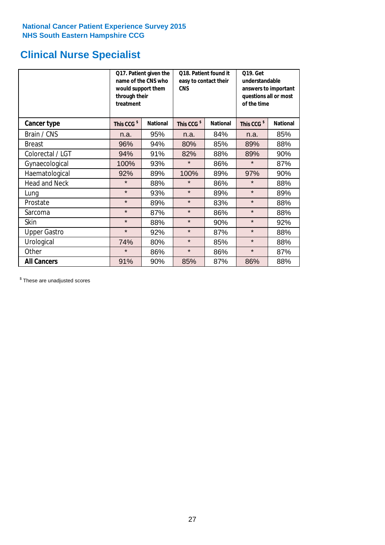# **Clinical Nurse Specialist**

|                      | would support them<br>through their<br>treatment | Q17. Patient given the<br>name of the CNS who | Q18. Patient found it<br>easy to contact their<br><b>CNS</b> |                 | <b>Q19. Get</b><br>understandable<br>answers to important<br>questions all or most<br>of the time |                 |  |
|----------------------|--------------------------------------------------|-----------------------------------------------|--------------------------------------------------------------|-----------------|---------------------------------------------------------------------------------------------------|-----------------|--|
| Cancer type          | This CCG <sup>\$</sup>                           | <b>National</b>                               | This CCG <sup>\$</sup>                                       | <b>National</b> | This CCG <sup>\$</sup>                                                                            | <b>National</b> |  |
| Brain / CNS          | n.a.                                             | 95%                                           | n.a.                                                         | 84%             | n.a.                                                                                              | 85%             |  |
| <b>Breast</b>        | 96%                                              | 94%                                           | 80%                                                          | 85%             | 89%                                                                                               | 88%             |  |
| Colorectal / LGT     | 94%                                              | 91%                                           | 82%                                                          | 88%             | 89%                                                                                               | 90%             |  |
| Gynaecological       | 100%                                             | 93%                                           | $\star$                                                      | 86%             | $\star$                                                                                           | 87%             |  |
| Haematological       | 92%                                              | 89%                                           | 100%                                                         | 89%             | 97%                                                                                               | 90%             |  |
| <b>Head and Neck</b> | $\star$                                          | 88%                                           | $\star$                                                      | 86%             | $\star$                                                                                           | 88%             |  |
| Lung                 | $\star$                                          | 93%                                           | $\star$                                                      | 89%             | $\star$                                                                                           | 89%             |  |
| Prostate             | $\star$                                          | 89%                                           | $\star$                                                      | 83%             | $\star$                                                                                           | 88%             |  |
| Sarcoma              | $\star$                                          | 87%                                           | $\star$                                                      | 86%             | $\star$                                                                                           | 88%             |  |
| Skin                 | $\star$                                          | 88%                                           | $\star$                                                      | 90%             | $\star$                                                                                           | 92%             |  |
| <b>Upper Gastro</b>  | $\star$                                          | 92%                                           | $\star$                                                      | 87%             | $\star$                                                                                           | 88%             |  |
| Urological           | 74%                                              | 80%                                           | $\star$                                                      | 85%             | $\star$                                                                                           | 88%             |  |
| Other                | $\star$                                          | 86%                                           | $\star$                                                      | 86%             | $\star$                                                                                           | 87%             |  |
| <b>All Cancers</b>   | 91%                                              | 90%                                           | 85%                                                          | 87%             | 86%                                                                                               | 88%             |  |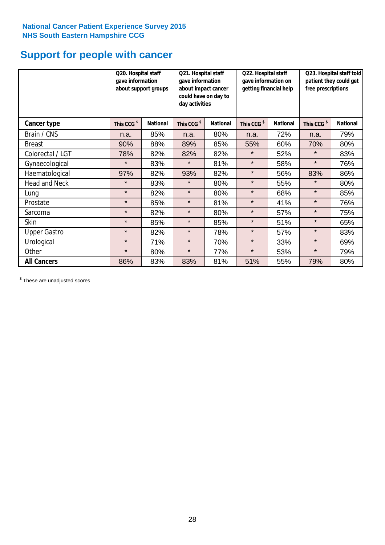# **Support for people with cancer**

|                      | Q20. Hospital staff<br>gave information<br>about support groups |                 | Q21. Hospital staff<br>gave information<br>about impact cancer<br>could have on day to<br>day activities |                 | Q22. Hospital staff<br>gave information on<br>getting financial help |                 | Q23. Hospital staff told<br>patient they could get<br>free prescriptions |                 |
|----------------------|-----------------------------------------------------------------|-----------------|----------------------------------------------------------------------------------------------------------|-----------------|----------------------------------------------------------------------|-----------------|--------------------------------------------------------------------------|-----------------|
| <b>Cancer type</b>   | This CCG <sup>\$</sup>                                          | <b>National</b> | This CCG <sup>\$</sup>                                                                                   | <b>National</b> | This CCG <sup>\$</sup>                                               | <b>National</b> | This CCG <sup>\$</sup>                                                   | <b>National</b> |
| Brain / CNS          | n.a.                                                            | 85%             | n.a.                                                                                                     | 80%             | n.a.                                                                 | 72%             | n.a.                                                                     | 79%             |
| <b>Breast</b>        | 90%                                                             | 88%             | 89%                                                                                                      | 85%             | 55%                                                                  | 60%             | 70%                                                                      | 80%             |
| Colorectal / LGT     | 78%                                                             | 82%             | 82%                                                                                                      | 82%             | $\star$                                                              | 52%             | $\star$                                                                  | 83%             |
| Gynaecological       | $\star$                                                         | 83%             | $\star$                                                                                                  | 81%             | $\star$                                                              | 58%             | $\star$                                                                  | 76%             |
| Haematological       | 97%                                                             | 82%             | 93%                                                                                                      | 82%             | $\star$                                                              | 56%             | 83%                                                                      | 86%             |
| <b>Head and Neck</b> | $\star$                                                         | 83%             | $\star$                                                                                                  | 80%             | $\star$                                                              | 55%             | $\star$                                                                  | 80%             |
| Lung                 | $\star$                                                         | 82%             | $\star$                                                                                                  | 80%             | $\star$                                                              | 68%             | $\star$                                                                  | 85%             |
| Prostate             | $\star$                                                         | 85%             | $\star$                                                                                                  | 81%             | $\star$                                                              | 41%             | $\star$                                                                  | 76%             |
| Sarcoma              | $\star$                                                         | 82%             | $\star$                                                                                                  | 80%             | $\star$                                                              | 57%             | $\star$                                                                  | 75%             |
| Skin                 | $\star$                                                         | 85%             | $\star$                                                                                                  | 85%             | $\star$                                                              | 51%             | $\star$                                                                  | 65%             |
| <b>Upper Gastro</b>  | $\star$                                                         | 82%             | $\star$                                                                                                  | 78%             | $\star$                                                              | 57%             | $\star$                                                                  | 83%             |
| Urological           | $\star$                                                         | 71%             | $\star$                                                                                                  | 70%             | $\star$                                                              | 33%             | $\star$                                                                  | 69%             |
| Other                | $\star$                                                         | 80%             | $\star$                                                                                                  | 77%             | $\star$                                                              | 53%             | $\star$                                                                  | 79%             |
| <b>All Cancers</b>   | 86%                                                             | 83%             | 83%                                                                                                      | 81%             | 51%                                                                  | 55%             | 79%                                                                      | 80%             |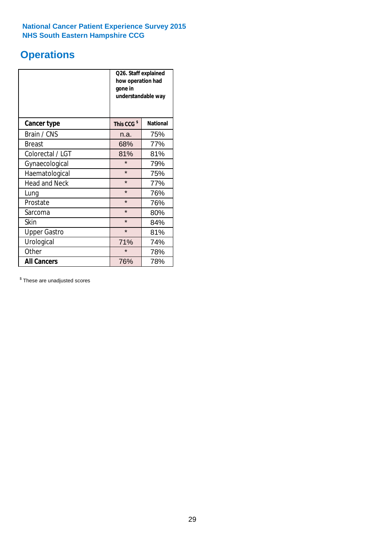# **Operations**

|                      | Q26. Staff explained<br>how operation had<br>gone in<br>understandable way |                 |  |  |  |
|----------------------|----------------------------------------------------------------------------|-----------------|--|--|--|
| <b>Cancer type</b>   | This CCG <sup>\$</sup>                                                     | <b>National</b> |  |  |  |
| Brain / CNS          | n.a.                                                                       | 75%             |  |  |  |
| <b>Breast</b>        | 68%                                                                        | 77%             |  |  |  |
| Colorectal / LGT     | 81%                                                                        | 81%             |  |  |  |
| Gynaecological       | $\star$                                                                    | 79%             |  |  |  |
| Haematological       | $\star$                                                                    | 75%             |  |  |  |
| <b>Head and Neck</b> | $\star$                                                                    | 77%             |  |  |  |
| Lung                 | $\star$                                                                    | 76%             |  |  |  |
| Prostate             | $\star$                                                                    | 76%             |  |  |  |
| Sarcoma              | $\star$                                                                    | 80%             |  |  |  |
| Skin                 | $\star$                                                                    | 84%             |  |  |  |
| <b>Upper Gastro</b>  | $\star$                                                                    | 81%             |  |  |  |
| Urological           | 71%                                                                        | 74%             |  |  |  |
| Other                | $\star$                                                                    | 78%             |  |  |  |
| <b>All Cancers</b>   | 76%                                                                        | 78%             |  |  |  |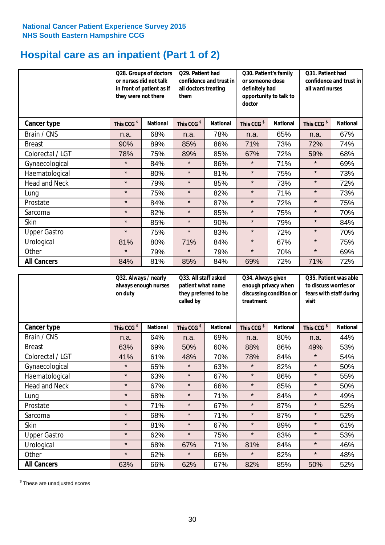# **Hospital care as an inpatient (Part 1 of 2)**

|                      |                        | Q28. Groups of doctors<br>or nurses did not talk<br>in front of patient as if<br>they were not there |                        | Q29. Patient had<br>confidence and trust in<br>all doctors treating<br>them |                        | Q30. Patient's family<br>or someone close<br>definitely had<br>opportunity to talk to<br>doctor |                        | Q31. Patient had<br>confidence and trust in I<br>all ward nurses |  |
|----------------------|------------------------|------------------------------------------------------------------------------------------------------|------------------------|-----------------------------------------------------------------------------|------------------------|-------------------------------------------------------------------------------------------------|------------------------|------------------------------------------------------------------|--|
| Cancer type          | This CCG <sup>\$</sup> | <b>National</b>                                                                                      | This CCG <sup>\$</sup> | <b>National</b>                                                             | This CCG <sup>\$</sup> | <b>National</b>                                                                                 | This CCG <sup>\$</sup> | <b>National</b>                                                  |  |
| Brain / CNS          | n.a.                   | 68%                                                                                                  | n.a.                   | 78%                                                                         | n.a.                   | 65%                                                                                             | n.a.                   | 67%                                                              |  |
| <b>Breast</b>        | 90%                    | 89%                                                                                                  | 85%                    | 86%                                                                         | 71%                    | 73%                                                                                             | 72%                    | 74%                                                              |  |
| Colorectal / LGT     | 78%                    | 75%                                                                                                  | 89%                    | 85%                                                                         | 67%                    | 72%                                                                                             | 59%                    | 68%                                                              |  |
| Gynaecological       | $\star$                | 84%                                                                                                  | $\star$                | 86%                                                                         | $\star$                | 71%                                                                                             | $\star$                | 69%                                                              |  |
| Haematological       | $\star$                | 80%                                                                                                  | $\star$                | 81%                                                                         | $\star$                | 75%                                                                                             | $\star$                | 73%                                                              |  |
| <b>Head and Neck</b> | $\star$                | 79%                                                                                                  | $\star$                | 85%                                                                         | $\star$                | 73%                                                                                             | $\star$                | 72%                                                              |  |
| Lung                 | $\star$                | 75%                                                                                                  | $\star$                | 82%                                                                         | $\star$                | 71%                                                                                             | $\star$                | 73%                                                              |  |
| Prostate             | $\star$                | 84%                                                                                                  | $\star$                | 87%                                                                         | $\star$                | 72%                                                                                             | $\star$                | 75%                                                              |  |
| Sarcoma              | $\star$                | 82%                                                                                                  | $\star$                | 85%                                                                         | $\star$                | 75%                                                                                             | $\star$                | 70%                                                              |  |
| Skin                 | $\star$                | 85%                                                                                                  | $\star$                | 90%                                                                         | $\star$                | 79%                                                                                             | $\star$                | 84%                                                              |  |
| <b>Upper Gastro</b>  | $\star$                | 75%                                                                                                  | $\star$                | 83%                                                                         | $\star$                | 72%                                                                                             | $\star$                | 70%                                                              |  |
| Urological           | 81%                    | 80%                                                                                                  | 71%                    | 84%                                                                         | $\star$                | 67%                                                                                             | $\star$                | 75%                                                              |  |
| Other                | $\star$                | 79%                                                                                                  | $\star$                | 79%                                                                         | $\star$                | 70%                                                                                             | $\star$                | 69%                                                              |  |
| <b>All Cancers</b>   | 84%                    | 81%                                                                                                  | 85%                    | 84%                                                                         | 69%                    | 72%                                                                                             | 71%                    | 72%                                                              |  |

|                      | Q32. Always / nearly<br>always enough nurses<br>on duty |                 | Q33. All staff asked<br>patient what name<br>they preferred to be<br>called by |                 | Q34. Always given<br>enough privacy when<br>discussing condition or<br>treatment |                 | Q35. Patient was able<br>to discuss worries or<br>fears with staff during<br>visit |                 |
|----------------------|---------------------------------------------------------|-----------------|--------------------------------------------------------------------------------|-----------------|----------------------------------------------------------------------------------|-----------------|------------------------------------------------------------------------------------|-----------------|
| <b>Cancer type</b>   | This CCG <sup>\$</sup>                                  | <b>National</b> | This CCG <sup>\$</sup>                                                         | <b>National</b> | This CCG <sup>\$</sup>                                                           | <b>National</b> | This CCG <sup>\$</sup>                                                             | <b>National</b> |
| Brain / CNS          | n.a.                                                    | 64%             | n.a.                                                                           | 69%             | n.a.                                                                             | 80%             | n.a.                                                                               | 44%             |
| <b>Breast</b>        | 63%                                                     | 69%             | 50%                                                                            | 60%             | 88%                                                                              | 86%             | 49%                                                                                | 53%             |
| Colorectal / LGT     | 41%                                                     | 61%             | 48%                                                                            | 70%             | 78%                                                                              | 84%             | $\star$                                                                            | 54%             |
| Gynaecological       | $\star$                                                 | 65%             | $\star$                                                                        | 63%             | $\star$                                                                          | 82%             | $\star$                                                                            | 50%             |
| Haematological       | $\star$                                                 | 63%             | $\star$                                                                        | 67%             | $\star$                                                                          | 86%             | $\star$                                                                            | 55%             |
| <b>Head and Neck</b> | $\star$                                                 | 67%             | $\star$                                                                        | 66%             | $\star$                                                                          | 85%             | $\star$                                                                            | 50%             |
| Lung                 | $\star$                                                 | 68%             | $\star$                                                                        | 71%             | $\star$                                                                          | 84%             | $\star$                                                                            | 49%             |
| Prostate             | $\star$                                                 | 71%             | $\star$                                                                        | 67%             | $\star$                                                                          | 87%             | $\star$                                                                            | 52%             |
| Sarcoma              | $\star$                                                 | 68%             | $\star$                                                                        | 71%             | $\star$                                                                          | 87%             | $\star$                                                                            | 52%             |
| Skin                 | $\star$                                                 | 81%             | $\star$                                                                        | 67%             | $\star$                                                                          | 89%             | $\star$                                                                            | 61%             |
| <b>Upper Gastro</b>  | $\star$                                                 | 62%             | $\star$                                                                        | 75%             | $\star$                                                                          | 83%             | $\star$                                                                            | 53%             |
| Urological           | $\star$                                                 | 68%             | 67%                                                                            | 71%             | 81%                                                                              | 84%             | $\star$                                                                            | 46%             |
| Other                | $\star$                                                 | 62%             | $\star$                                                                        | 66%             | $\star$                                                                          | 82%             | $\star$                                                                            | 48%             |
| <b>All Cancers</b>   | 63%                                                     | 66%             | 62%                                                                            | 67%             | 82%                                                                              | 85%             | 50%                                                                                | 52%             |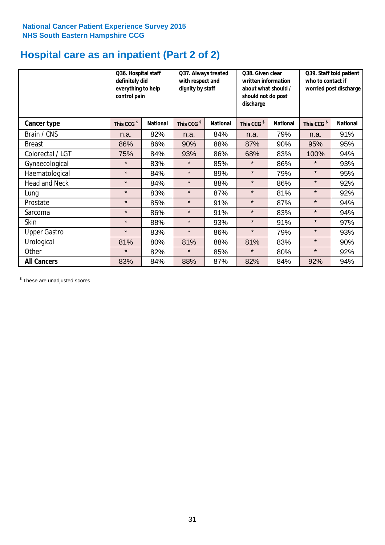# **Hospital care as an inpatient (Part 2 of 2)**

|                      | Q36. Hospital staff<br>definitely did<br>everything to help<br>control pain |                 | Q37. Always treated<br>with respect and<br>dignity by staff |                 | Q38. Given clear<br>written information<br>about what should /<br>should not do post<br>discharge |                 | Q39. Staff told patient<br>who to contact if<br>worried post discharge |                 |  |
|----------------------|-----------------------------------------------------------------------------|-----------------|-------------------------------------------------------------|-----------------|---------------------------------------------------------------------------------------------------|-----------------|------------------------------------------------------------------------|-----------------|--|
| Cancer type          | This CCG <sup>\$</sup>                                                      | <b>National</b> | This CCG <sup>\$</sup>                                      | <b>National</b> | This CCG <sup>\$</sup>                                                                            | <b>National</b> | This CCG <sup>\$</sup>                                                 | <b>National</b> |  |
| Brain / CNS          | n.a.                                                                        | 82%             | n.a.                                                        | 84%             | n.a.                                                                                              | 79%             | n.a.                                                                   | 91%             |  |
| <b>Breast</b>        | 86%                                                                         | 86%             | 90%                                                         | 88%             | 87%                                                                                               | 90%             | 95%                                                                    | 95%             |  |
| Colorectal / LGT     | 75%                                                                         | 84%             | 93%                                                         | 86%             | 68%                                                                                               | 83%             | 100%                                                                   | 94%             |  |
| Gynaecological       | $\star$                                                                     | 83%             | $\star$                                                     | 85%             | $\star$                                                                                           | 86%             | $\star$                                                                | 93%             |  |
| Haematological       | $\star$                                                                     | 84%             | $\star$                                                     | 89%             | $\star$                                                                                           | 79%             | $\star$                                                                | 95%             |  |
| <b>Head and Neck</b> | $\star$                                                                     | 84%             | $\star$                                                     | 88%             | $\star$                                                                                           | 86%             | $\star$                                                                | 92%             |  |
| Lung                 | $\star$                                                                     | 83%             | $\star$                                                     | 87%             | $\star$                                                                                           | 81%             | $\star$                                                                | 92%             |  |
| Prostate             | $\star$                                                                     | 85%             | $\star$                                                     | 91%             | $\star$                                                                                           | 87%             | $\star$                                                                | 94%             |  |
| Sarcoma              | $\star$                                                                     | 86%             | $\star$                                                     | 91%             | $\star$                                                                                           | 83%             | $\star$                                                                | 94%             |  |
| Skin                 | $\star$                                                                     | 88%             | $\star$                                                     | 93%             | $\star$                                                                                           | 91%             | $\star$                                                                | 97%             |  |
| <b>Upper Gastro</b>  | $\star$                                                                     | 83%             | $\star$                                                     | 86%             | $\star$                                                                                           | 79%             | $\star$                                                                | 93%             |  |
| Urological           | 81%                                                                         | 80%             | 81%                                                         | 88%             | 81%                                                                                               | 83%             | $\star$                                                                | 90%             |  |
| Other                | $\star$                                                                     | 82%             | $\star$                                                     | 85%             | $\star$                                                                                           | 80%             | $\star$                                                                | 92%             |  |
| <b>All Cancers</b>   | 83%                                                                         | 84%             | 88%                                                         | 87%             | 82%                                                                                               | 84%             | 92%                                                                    | 94%             |  |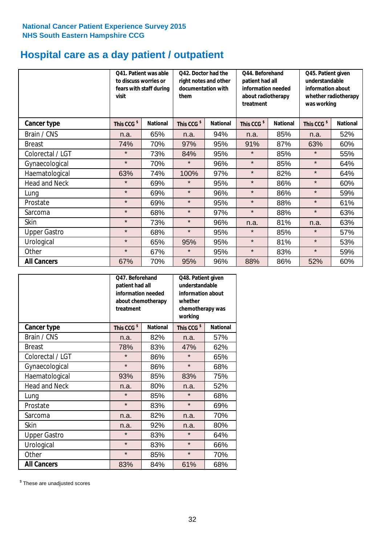# **Hospital care as a day patient / outpatient**

|                      | to discuss worries or<br>visit | Q41. Patient was able<br>042. Doctor had the<br>right notes and other<br>documentation with<br>fears with staff during<br>them |                        | Q44. Beforehand<br>patient had all<br>information needed<br>about radiotherapy<br>treatment |                        | Q45. Patient given<br>understandable<br>information about<br>whether radiotherapy<br>was working |                        |                 |
|----------------------|--------------------------------|--------------------------------------------------------------------------------------------------------------------------------|------------------------|---------------------------------------------------------------------------------------------|------------------------|--------------------------------------------------------------------------------------------------|------------------------|-----------------|
| Cancer type          | This CCG <sup>\$</sup>         | <b>National</b>                                                                                                                | This CCG <sup>\$</sup> | <b>National</b>                                                                             | This CCG <sup>\$</sup> | <b>National</b>                                                                                  | This CCG <sup>\$</sup> | <b>National</b> |
| Brain / CNS          | n.a.                           | 65%                                                                                                                            | n.a.                   | 94%                                                                                         | n.a.                   | 85%                                                                                              | n.a.                   | 52%             |
| <b>Breast</b>        | 74%                            | 70%                                                                                                                            | 97%                    | 95%                                                                                         | 91%                    | 87%                                                                                              | 63%                    | 60%             |
| Colorectal / LGT     | $\star$                        | 73%                                                                                                                            | 84%                    | 95%                                                                                         | $\star$                | 85%                                                                                              | $\star$                | 55%             |
| Gynaecological       | $\star$                        | 70%                                                                                                                            | $\star$                | 96%                                                                                         | $\star$                | 85%                                                                                              | $\star$                | 64%             |
| Haematological       | 63%                            | 74%                                                                                                                            | 100%                   | 97%                                                                                         | $\star$                | 82%                                                                                              | $\star$                | 64%             |
| <b>Head and Neck</b> | $\star$                        | 69%                                                                                                                            | $\star$                | 95%                                                                                         | $\star$                | 86%                                                                                              | $\star$                | 60%             |
| Lung                 | $\star$                        | 69%                                                                                                                            | $\star$                | 96%                                                                                         | $\star$                | 86%                                                                                              | $\star$                | 59%             |
| Prostate             | $\star$                        | 69%                                                                                                                            | $\star$                | 95%                                                                                         | $\star$                | 88%                                                                                              | $\star$                | 61%             |
| Sarcoma              | $\star$                        | 68%                                                                                                                            | $\star$                | 97%                                                                                         | $\star$                | 88%                                                                                              | $\star$                | 63%             |
| Skin                 | $\star$                        | 73%                                                                                                                            | $\star$                | 96%                                                                                         | n.a.                   | 81%                                                                                              | n.a.                   | 63%             |
| <b>Upper Gastro</b>  | $\star$                        | 68%                                                                                                                            | $\star$                | 95%                                                                                         | $\star$                | 85%                                                                                              | $\star$                | 57%             |
| Urological           | $\star$                        | 65%                                                                                                                            | 95%                    | 95%                                                                                         | $\star$                | 81%                                                                                              | $\star$                | 53%             |
| Other                | $\star$                        | 67%                                                                                                                            | $\star$                | 95%                                                                                         | $\star$                | 83%                                                                                              | $\star$                | 59%             |
| <b>All Cancers</b>   | 67%                            | 70%                                                                                                                            | 95%                    | 96%                                                                                         | 88%                    | 86%                                                                                              | 52%                    | 60%             |

|                      | O47. Beforehand<br>patient had all<br>information needed<br>about chemotherapy<br>treatment |                 | Q48. Patient given<br>understandable<br>information about<br>whether<br>chemotherapy was<br>working |                 |  |
|----------------------|---------------------------------------------------------------------------------------------|-----------------|-----------------------------------------------------------------------------------------------------|-----------------|--|
| <b>Cancer type</b>   | This CCG <sup>\$</sup>                                                                      | <b>National</b> | This CCG <sup>\$</sup>                                                                              | <b>National</b> |  |
| Brain / CNS          | n.a.                                                                                        | 82%             | n.a.                                                                                                | 57%             |  |
| <b>Breast</b>        | 78%                                                                                         | 83%             | 47%                                                                                                 | 62%             |  |
| Colorectal / LGT     | $\star$                                                                                     | 86%             | $\star$                                                                                             | 65%             |  |
| Gynaecological       | $\star$                                                                                     | 86%             | $\star$                                                                                             | 68%             |  |
| Haematological       | 93%                                                                                         | 85%             | 83%                                                                                                 | 75%             |  |
| <b>Head and Neck</b> | n.a.                                                                                        | 80%             | n.a.                                                                                                | 52%             |  |
| Lung                 | $\star$                                                                                     | 85%             | $\star$                                                                                             | 68%             |  |
| Prostate             | $\star$                                                                                     | 83%             | $\star$                                                                                             | 69%             |  |
| Sarcoma              | n.a.                                                                                        | 82%             | n.a.                                                                                                | 70%             |  |
| Skin                 | n.a.                                                                                        | 92%             | n.a.                                                                                                | 80%             |  |
| <b>Upper Gastro</b>  | $\star$                                                                                     | 83%             | $\star$                                                                                             | 64%             |  |
| Urological           | $\star$                                                                                     | 83%             | $\star$                                                                                             | 66%             |  |
| Other                | $\star$                                                                                     | 85%             | $\star$                                                                                             | 70%             |  |
| <b>All Cancers</b>   | 83%                                                                                         | 84%             | 61%                                                                                                 | 68%             |  |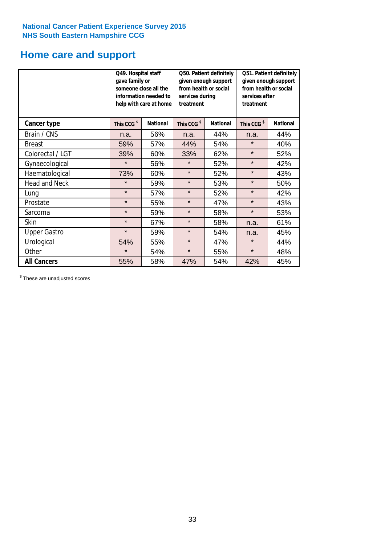# **Home care and support**

|                      |                        | Q49. Hospital staff<br>Q50. Patient definitely<br>gave family or<br>given enough support<br>from health or social<br>someone close all the<br>information needed to<br>services during<br>treatment<br>help with care at home |                        | Q51. Patient definitely<br>given enough support<br>from health or social<br>services after<br>treatment |                        |                 |
|----------------------|------------------------|-------------------------------------------------------------------------------------------------------------------------------------------------------------------------------------------------------------------------------|------------------------|---------------------------------------------------------------------------------------------------------|------------------------|-----------------|
| <b>Cancer type</b>   | This CCG <sup>\$</sup> | <b>National</b>                                                                                                                                                                                                               | This CCG <sup>\$</sup> | <b>National</b>                                                                                         | This CCG <sup>\$</sup> | <b>National</b> |
| Brain / CNS          | n.a.                   | 56%                                                                                                                                                                                                                           | n.a.                   | 44%                                                                                                     | n.a.                   | 44%             |
| <b>Breast</b>        | 59%                    | 57%                                                                                                                                                                                                                           | 44%                    | 54%                                                                                                     | $\star$                | 40%             |
| Colorectal / LGT     | 39%                    | 60%                                                                                                                                                                                                                           | 33%                    | 62%                                                                                                     | $\star$                | 52%             |
| Gynaecological       | $\star$                | 56%                                                                                                                                                                                                                           | $\star$                | 52%                                                                                                     | $\star$                | 42%             |
| Haematological       | 73%                    | 60%                                                                                                                                                                                                                           | $\star$                | 52%                                                                                                     | $\star$                | 43%             |
| <b>Head and Neck</b> | $\star$                | 59%                                                                                                                                                                                                                           | $\star$                | 53%                                                                                                     | $\star$                | 50%             |
| Lung                 | $\star$                | 57%                                                                                                                                                                                                                           | $\star$                | 52%                                                                                                     | $\star$                | 42%             |
| Prostate             | $\star$                | 55%                                                                                                                                                                                                                           | $\star$                | 47%                                                                                                     | $\star$                | 43%             |
| Sarcoma              | $\star$                | 59%                                                                                                                                                                                                                           | $\star$                | 58%                                                                                                     | $\star$                | 53%             |
| Skin                 | $\star$                | 67%                                                                                                                                                                                                                           | $\star$                | 58%                                                                                                     | n.a.                   | 61%             |
| <b>Upper Gastro</b>  | $\star$                | 59%                                                                                                                                                                                                                           | $\star$                | 54%                                                                                                     | n.a.                   | 45%             |
| Urological           | 54%                    | 55%                                                                                                                                                                                                                           | $\star$                | 47%                                                                                                     | $\star$                | 44%             |
| Other                | $\star$                | 54%                                                                                                                                                                                                                           | $\star$                | 55%                                                                                                     | $\star$                | 48%             |
| <b>All Cancers</b>   | 55%                    | 58%                                                                                                                                                                                                                           | 47%                    | 54%                                                                                                     | 42%                    | 45%             |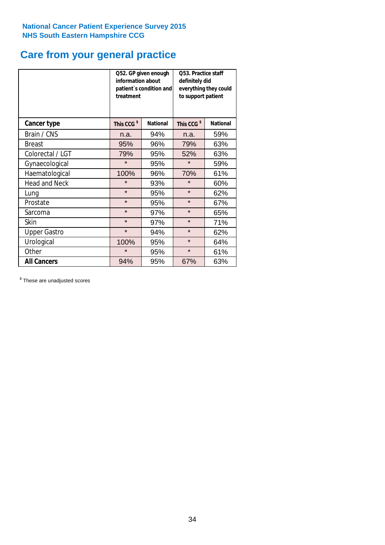# **Care from your general practice**

|                      | information about<br>treatment | Q52. GP given enough<br>patient's condition and | O53. Practice staff<br>definitely did<br>everything they could<br>to support patient |                 |  |
|----------------------|--------------------------------|-------------------------------------------------|--------------------------------------------------------------------------------------|-----------------|--|
| <b>Cancer type</b>   | This CCG <sup>\$</sup>         | <b>National</b>                                 | This CCG <sup>\$</sup>                                                               | <b>National</b> |  |
| Brain / CNS          | n.a.                           | 94%                                             | n.a.                                                                                 | 59%             |  |
| <b>Breast</b>        | 95%                            | 96%                                             | 79%                                                                                  | 63%             |  |
| Colorectal / LGT     | 79%                            | 95%                                             | 52%                                                                                  | 63%             |  |
| Gynaecological       | $\star$                        | 95%                                             | $\star$                                                                              | 59%             |  |
| Haematological       | 100%                           | 96%                                             | 70%                                                                                  | 61%             |  |
| <b>Head and Neck</b> | $\star$                        | 93%                                             | $\star$                                                                              | 60%             |  |
| Lung                 | $\star$                        | 95%                                             | $\star$                                                                              | 62%             |  |
| Prostate             | $\star$                        | 95%                                             | $\star$                                                                              | 67%             |  |
| Sarcoma              | $\star$                        | 97%                                             | $\star$                                                                              | 65%             |  |
| Skin                 | $\star$                        | 97%                                             | $\star$                                                                              | 71%             |  |
| <b>Upper Gastro</b>  | $\star$                        | 94%                                             | $\star$                                                                              | 62%             |  |
| Urological           | 100%                           | 95%                                             | $\star$                                                                              | 64%             |  |
| Other                | $\star$                        | 95%                                             | $\star$                                                                              | 61%             |  |
| <b>All Cancers</b>   | 94%                            | 95%                                             | 67%                                                                                  | 63%             |  |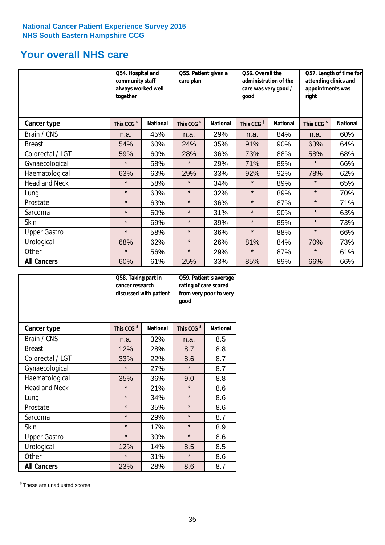# **Your overall NHS care**

|                     | Q54. Hospital and<br>community staff<br>always worked well<br>together |                 | Q55. Patient given a<br>care plan |                 | Q56. Overall the<br>administration of the<br>care was very good /<br>qood |                 | Q57. Length of time for<br>attending clinics and<br>appointments was<br>right |                 |
|---------------------|------------------------------------------------------------------------|-----------------|-----------------------------------|-----------------|---------------------------------------------------------------------------|-----------------|-------------------------------------------------------------------------------|-----------------|
| Cancer type         | This CCG <sup>\$</sup>                                                 | <b>National</b> | This CCG <sup>\$</sup>            | <b>National</b> | This CCG <sup>\$</sup>                                                    | <b>National</b> | This CCG <sup>\$</sup>                                                        | <b>National</b> |
| Brain / CNS         | n.a.                                                                   | 45%             | n.a.                              | 29%             | n.a.                                                                      | 84%             | n.a.                                                                          | 60%             |
| <b>Breast</b>       | 54%                                                                    | 60%             | 24%                               | 35%             | 91%                                                                       | 90%             | 63%                                                                           | 64%             |
| Colorectal / LGT    | 59%                                                                    | 60%             | 28%                               | 36%             | 73%                                                                       | 88%             | 58%                                                                           | 68%             |
| Gynaecological      | $\star$                                                                | 58%             | $\star$                           | 29%             | 71%                                                                       | 89%             | $\star$                                                                       | 66%             |
| Haematological      | 63%                                                                    | 63%             | 29%                               | 33%             | 92%                                                                       | 92%             | 78%                                                                           | 62%             |
| Head and Neck       | $\star$                                                                | 58%             | $\star$                           | 34%             | $\star$                                                                   | 89%             | $\star$                                                                       | 65%             |
| Lung                | $\star$                                                                | 63%             | $\star$                           | 32%             | $\star$                                                                   | 89%             | $\star$                                                                       | 70%             |
| Prostate            | $\star$                                                                | 63%             | $\star$                           | 36%             | $\star$                                                                   | 87%             | $\star$                                                                       | 71%             |
| Sarcoma             | $\star$                                                                | 60%             | $\star$                           | 31%             | $\star$                                                                   | 90%             | $\star$                                                                       | 63%             |
| Skin                | $\star$                                                                | 69%             | $\star$                           | 39%             | $\star$                                                                   | 89%             | $\star$                                                                       | 73%             |
| <b>Upper Gastro</b> | $\star$                                                                | 58%             | $\star$                           | 36%             | $\star$                                                                   | 88%             | $\star$                                                                       | 66%             |
| Urological          | 68%                                                                    | 62%             | $\star$                           | 26%             | 81%                                                                       | 84%             | 70%                                                                           | 73%             |
| Other               | $\star$                                                                | 56%             | $\star$                           | 29%             | $\star$                                                                   | 87%             | $\star$                                                                       | 61%             |
| <b>All Cancers</b>  | 60%                                                                    | 61%             | 25%                               | 33%             | 85%                                                                       | 89%             | 66%                                                                           | 66%             |

|                      | Q58. Taking part in<br>cancer research | discussed with patient | Q59. Patient's average<br>rating of care scored<br>from very poor to very<br>good |                 |  |
|----------------------|----------------------------------------|------------------------|-----------------------------------------------------------------------------------|-----------------|--|
| <b>Cancer type</b>   | This CCG <sup>\$</sup>                 | <b>National</b>        | This CCG <sup>\$</sup>                                                            | <b>National</b> |  |
| Brain / CNS          | n.a.                                   | 32%                    | n.a.                                                                              | 8.5             |  |
| <b>Breast</b>        | 12%                                    | 28%                    | 8.7                                                                               | 8.8             |  |
| Colorectal / LGT     | 33%                                    | 22%                    | 8.6                                                                               | 8.7             |  |
| Gynaecological       | $\star$                                | 27%                    | $\star$                                                                           | 8.7             |  |
| Haematological       | 35%                                    | 36%                    | 9.0                                                                               | 8.8             |  |
| <b>Head and Neck</b> | $\star$                                | 21%                    | $\star$                                                                           | 8.6             |  |
| Lung                 | $\star$                                | 34%                    | $\star$                                                                           | 8.6             |  |
| Prostate             | $\star$                                | 35%                    | $\star$                                                                           | 8.6             |  |
| Sarcoma              | $\star$                                | 29%                    | $\star$                                                                           | 8.7             |  |
| Skin                 | $\star$                                | 17%                    | $\star$                                                                           | 8.9             |  |
| <b>Upper Gastro</b>  | $\star$                                | 30%                    | $\star$                                                                           | 8.6             |  |
| Urological           | 12%                                    | 14%                    | 8.5                                                                               | 8.5             |  |
| Other                | $\star$                                | 31%                    | $\star$                                                                           | 8.6             |  |
| <b>All Cancers</b>   | 23%                                    | 28%                    | 8.6                                                                               | 8.7             |  |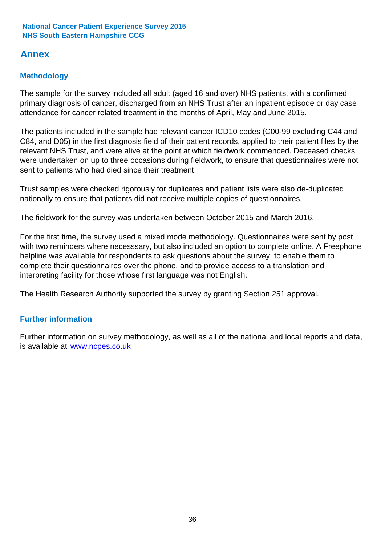# **Annex**

# **Methodology**

The sample for the survey included all adult (aged 16 and over) NHS patients, with a confirmed primary diagnosis of cancer, discharged from an NHS Trust after an inpatient episode or day case attendance for cancer related treatment in the months of April, May and June 2015.

The patients included in the sample had relevant cancer ICD10 codes (C00-99 excluding C44 and C84, and D05) in the first diagnosis field of their patient records, applied to their patient files by the relevant NHS Trust, and were alive at the point at which fieldwork commenced. Deceased checks were undertaken on up to three occasions during fieldwork, to ensure that questionnaires were not sent to patients who had died since their treatment.

Trust samples were checked rigorously for duplicates and patient lists were also de-duplicated nationally to ensure that patients did not receive multiple copies of questionnaires.

The fieldwork for the survey was undertaken between October 2015 and March 2016.

For the first time, the survey used a mixed mode methodology. Questionnaires were sent by post with two reminders where necesssary, but also included an option to complete online. A Freephone helpline was available for respondents to ask questions about the survey, to enable them to complete their questionnaires over the phone, and to provide access to a translation and interpreting facility for those whose first language was not English.

The Health Research Authority supported the survey by granting Section 251 approval.

### **Further information**

Further information on survey methodology, as well as all of the national and local reports and data, is available at www.ncpes.co.uk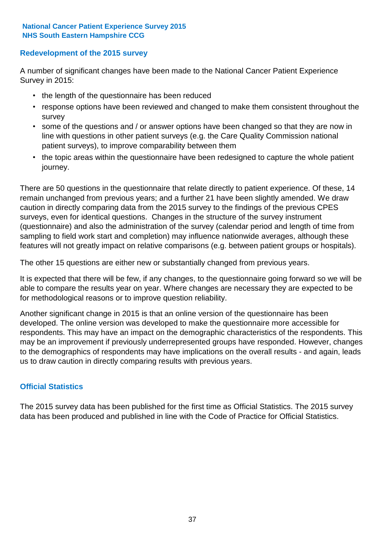### **Redevelopment of the 2015 survey**

A number of significant changes have been made to the National Cancer Patient Experience Survey in 2015:

- the length of the questionnaire has been reduced
- response options have been reviewed and changed to make them consistent throughout the survey
- some of the questions and / or answer options have been changed so that they are now in line with questions in other patient surveys (e.g. the Care Quality Commission national patient surveys), to improve comparability between them
- the topic areas within the questionnaire have been redesigned to capture the whole patient journey.

There are 50 questions in the questionnaire that relate directly to patient experience. Of these, 14 remain unchanged from previous years; and a further 21 have been slightly amended. We draw caution in directly comparing data from the 2015 survey to the findings of the previous CPES surveys, even for identical questions. Changes in the structure of the survey instrument (questionnaire) and also the administration of the survey (calendar period and length of time from sampling to field work start and completion) may influence nationwide averages, although these features will not greatly impact on relative comparisons (e.g. between patient groups or hospitals).

The other 15 questions are either new or substantially changed from previous years.

It is expected that there will be few, if any changes, to the questionnaire going forward so we will be able to compare the results year on year. Where changes are necessary they are expected to be for methodological reasons or to improve question reliability.

Another significant change in 2015 is that an online version of the questionnaire has been developed. The online version was developed to make the questionnaire more accessible for respondents. This may have an impact on the demographic characteristics of the respondents. This may be an improvement if previously underrepresented groups have responded. However, changes to the demographics of respondents may have implications on the overall results - and again, leads us to draw caution in directly comparing results with previous years.

### **Official Statistics**

The 2015 survey data has been published for the first time as Official Statistics. The 2015 survey data has been produced and published in line with the Code of Practice for Official Statistics.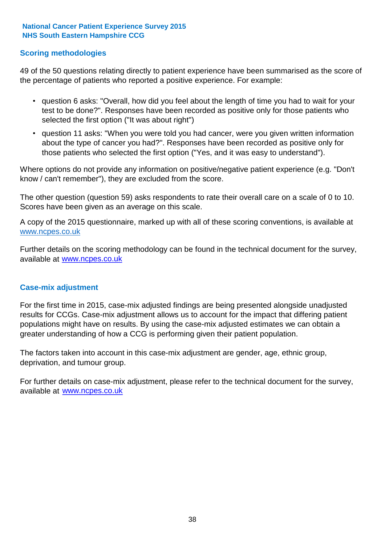### **Scoring methodologies**

49 of the 50 questions relating directly to patient experience have been summarised as the score of the percentage of patients who reported a positive experience. For example:

- question 6 asks: "Overall, how did you feel about the length of time you had to wait for your test to be done?". Responses have been recorded as positive only for those patients who selected the first option ("It was about right")
- question 11 asks: "When you were told you had cancer, were you given written information about the type of cancer you had?". Responses have been recorded as positive only for those patients who selected the first option ("Yes, and it was easy to understand").

Where options do not provide any information on positive/negative patient experience (e.g. "Don't know / can't remember"), they are excluded from the score.

The other question (question 59) asks respondents to rate their overall care on a scale of 0 to 10. Scores have been given as an average on this scale.

A copy of the 2015 questionnaire, marked up with all of these scoring conventions, is available at www.ncpes.co.uk

Further details on the scoring methodology can be found in the technical document for the survey, available at <u>www.ncpes.co.uk</u>

#### **Case-mix adjustment**

For the first time in 2015, case-mix adjusted findings are being presented alongside unadjusted results for CCGs. Case-mix adjustment allows us to account for the impact that differing patient populations might have on results. By using the case-mix adjusted estimates we can obtain a greater understanding of how a CCG is performing given their patient population.

The factors taken into account in this case-mix adjustment are gender, age, ethnic group, deprivation, and tumour group.

For further details on case-mix adjustment, please refer to the technical document for the survey, available at www.ncpes.co.uk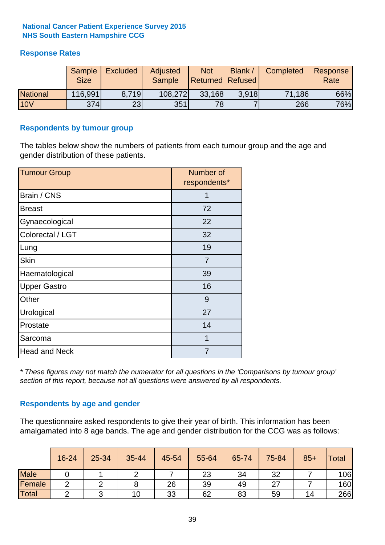### **Response Rates**

|                 | Sample<br><b>Size</b> | <b>Excluded</b> | Adjusted<br><b>Sample</b> | <b>Not</b><br><b>Returned Refused</b> | Blank / | Completed | Response<br>Rate |
|-----------------|-----------------------|-----------------|---------------------------|---------------------------------------|---------|-----------|------------------|
| <b>National</b> | 116,991               | 8.719           | 108,272                   | 33,168                                | 3.918   | 71,186    | 66%              |
| <b>10V</b>      | 374l                  | 23              | 351                       | 78                                    |         | 266       | 76%              |

#### **Respondents by tumour group**

The tables below show the numbers of patients from each tumour group and the age and gender distribution of these patients.

| <b>Tumour Group</b>  | Number of<br>respondents* |
|----------------------|---------------------------|
| Brain / CNS          | 1                         |
| <b>Breast</b>        | 72                        |
| Gynaecological       | 22                        |
| Colorectal / LGT     | 32                        |
| Lung                 | 19                        |
| <b>Skin</b>          | 7                         |
| Haematological       | 39                        |
| <b>Upper Gastro</b>  | 16                        |
| Other                | 9                         |
| Urological           | 27                        |
| Prostate             | 14                        |
| Sarcoma              | 1                         |
| <b>Head and Neck</b> | 7                         |

*\* These figures may not match the numerator for all questions in the 'Comparisons by tumour group' section of this report, because not all questions were answered by all respondents.*

### **Respondents by age and gender**

The questionnaire asked respondents to give their year of birth. This information has been amalgamated into 8 age bands. The age and gender distribution for the CCG was as follows:

|             | 16-24 | 25-34 | 35-44 | 45-54 | 55-64 | 65-74 | 75-84 | $85+$ | <b>Total</b> |
|-------------|-------|-------|-------|-------|-------|-------|-------|-------|--------------|
| <b>Male</b> |       |       | ⌒     |       | 23    | 34    | 32    |       | 106          |
| Female      | ◠     |       |       | 26    | 39    | 49    | ົ     |       | 160          |
| Total       |       |       | 10    | 33    | 62    | 83    | 59    | 14    | 266          |